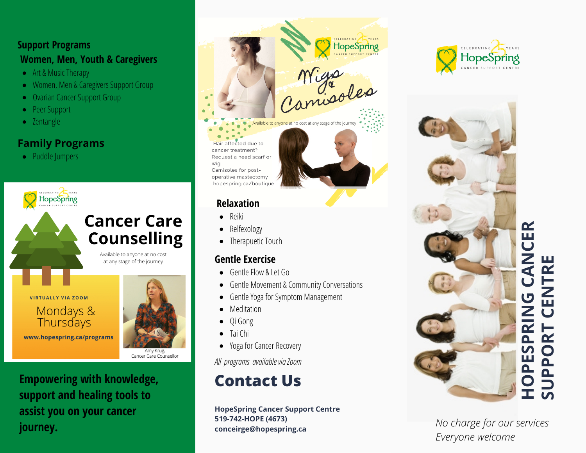### **S u p p o r t P r o g r a m s** Women, Men, Youth & Caregivers

- Art & Music Therapy
- Women, Men & Caregivers Support Group
- Ovarian Cancer Support Group
- Peer Support
- Zentangle

### **Family Programs**

• Puddle Jumpers



Mondays & **Thursdays** 

www.hopespring.ca/programs



Cancer Care Counsellor

**Empowering with knowledge,** support and healing tools to assist you on your cancer **j o u r n e y .**



## **R ela x a t i o n**

**•** Reiki

wig.

- Relfexology
- Therapuetic Touch

## **Gentle Exercise**

- Gentle Flow & Let Go
- Gentle Movement & Community Conversations
- Gentle Yoga for Symptom Management
- Meditation
- Qi Gong
- Tai Chi
- Yoga for Cancer Recovery

*All programs available via Zoom*

# **Contact Us**

**HopeSpring Cancer Support Centre 519-742-HOPE (4673) conceirge@hopespring.ca**





*No charge for our services Everyone* welcome

**SUPPORT CENTRE**